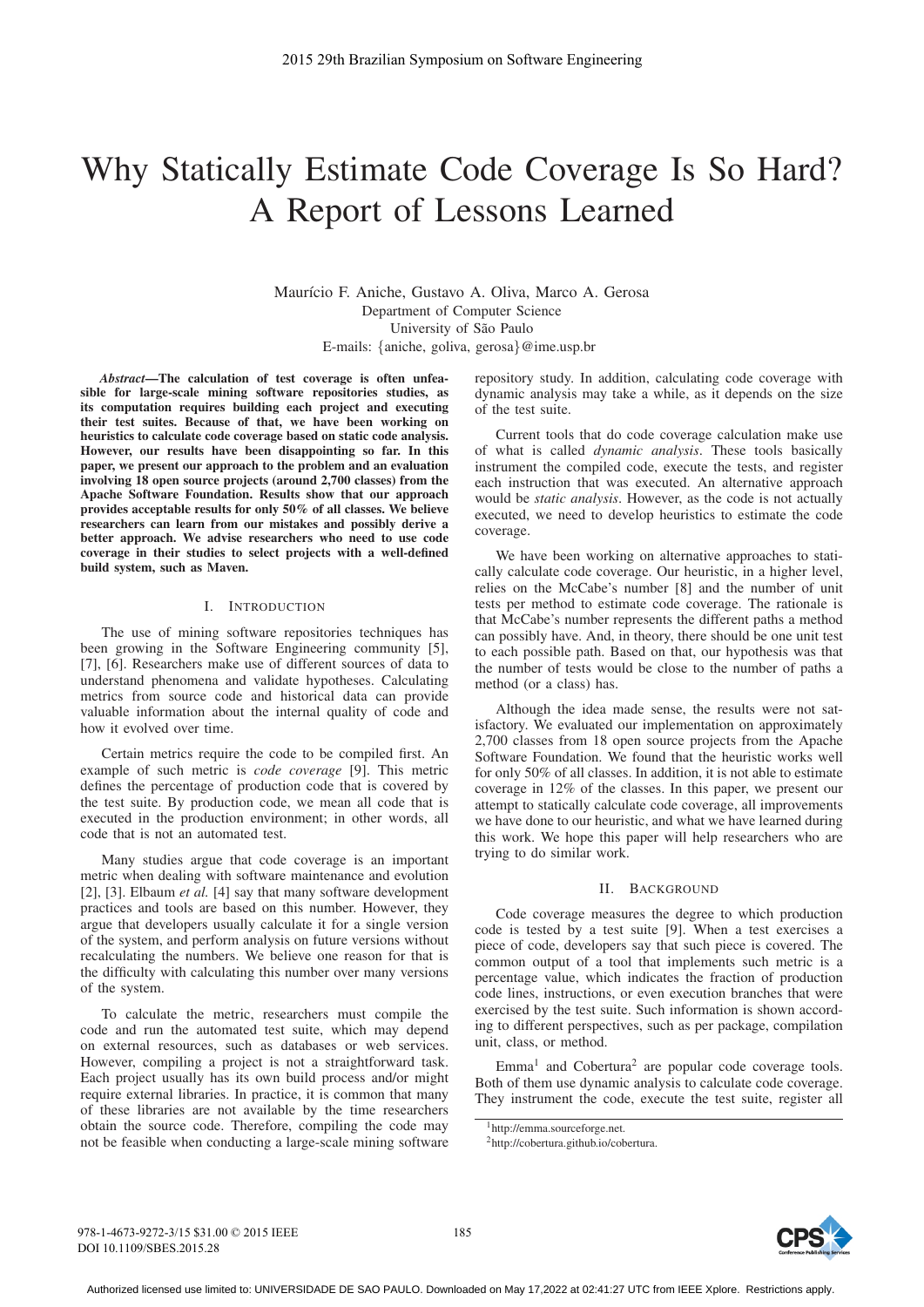# Why Statically Estimate Code Coverage Is So Hard? A Report of Lessons Learned

Maurício F. Aniche, Gustavo A. Oliva, Marco A. Gerosa Department of Computer Science University of São Paulo E-mails: {aniche, goliva, gerosa}@ime.usp.br

*Abstract*—The calculation of test coverage is often unfeasible for large-scale mining software repositories studies, as its computation requires building each project and executing their test suites. Because of that, we have been working on heuristics to calculate code coverage based on static code analysis. However, our results have been disappointing so far. In this paper, we present our approach to the problem and an evaluation involving 18 open source projects (around 2,700 classes) from the Apache Software Foundation. Results show that our approach provides acceptable results for only 50% of all classes. We believe researchers can learn from our mistakes and possibly derive a better approach. We advise researchers who need to use code coverage in their studies to select projects with a well-defined build system, such as Maven.

## I. INTRODUCTION

The use of mining software repositories techniques has been growing in the Software Engineering community [5], [7], [6]. Researchers make use of different sources of data to understand phenomena and validate hypotheses. Calculating metrics from source code and historical data can provide valuable information about the internal quality of code and how it evolved over time.

Certain metrics require the code to be compiled first. An example of such metric is *code coverage* [9]. This metric defines the percentage of production code that is covered by the test suite. By production code, we mean all code that is executed in the production environment; in other words, all code that is not an automated test.

Many studies argue that code coverage is an important metric when dealing with software maintenance and evolution [2], [3]. Elbaum *et al.* [4] say that many software development practices and tools are based on this number. However, they argue that developers usually calculate it for a single version of the system, and perform analysis on future versions without recalculating the numbers. We believe one reason for that is the difficulty with calculating this number over many versions of the system.

To calculate the metric, researchers must compile the code and run the automated test suite, which may depend on external resources, such as databases or web services. However, compiling a project is not a straightforward task. Each project usually has its own build process and/or might require external libraries. In practice, it is common that many of these libraries are not available by the time researchers obtain the source code. Therefore, compiling the code may not be feasible when conducting a large-scale mining software repository study. In addition, calculating code coverage with dynamic analysis may take a while, as it depends on the size of the test suite.

Current tools that do code coverage calculation make use of what is called *dynamic analysis*. These tools basically instrument the compiled code, execute the tests, and register each instruction that was executed. An alternative approach would be *static analysis*. However, as the code is not actually executed, we need to develop heuristics to estimate the code coverage.

We have been working on alternative approaches to statically calculate code coverage. Our heuristic, in a higher level, relies on the McCabe's number [8] and the number of unit tests per method to estimate code coverage. The rationale is that McCabe's number represents the different paths a method can possibly have. And, in theory, there should be one unit test to each possible path. Based on that, our hypothesis was that the number of tests would be close to the number of paths a method (or a class) has.

Although the idea made sense, the results were not satisfactory. We evaluated our implementation on approximately 2,700 classes from 18 open source projects from the Apache Software Foundation. We found that the heuristic works well for only 50% of all classes. In addition, it is not able to estimate coverage in 12% of the classes. In this paper, we present our attempt to statically calculate code coverage, all improvements we have done to our heuristic, and what we have learned during this work. We hope this paper will help researchers who are trying to do similar work.

#### II. BACKGROUND

Code coverage measures the degree to which production code is tested by a test suite [9]. When a test exercises a piece of code, developers say that such piece is covered. The common output of a tool that implements such metric is a percentage value, which indicates the fraction of production code lines, instructions, or even execution branches that were exercised by the test suite. Such information is shown according to different perspectives, such as per package, compilation unit, class, or method.

 $Emma<sup>1</sup>$  and Cobertura<sup>2</sup> are popular code coverage tools. Both of them use dynamic analysis to calculate code coverage. They instrument the code, execute the test suite, register all



<sup>1</sup>http://emma.sourceforge.net.

<sup>2</sup>http://cobertura.github.io/cobertura.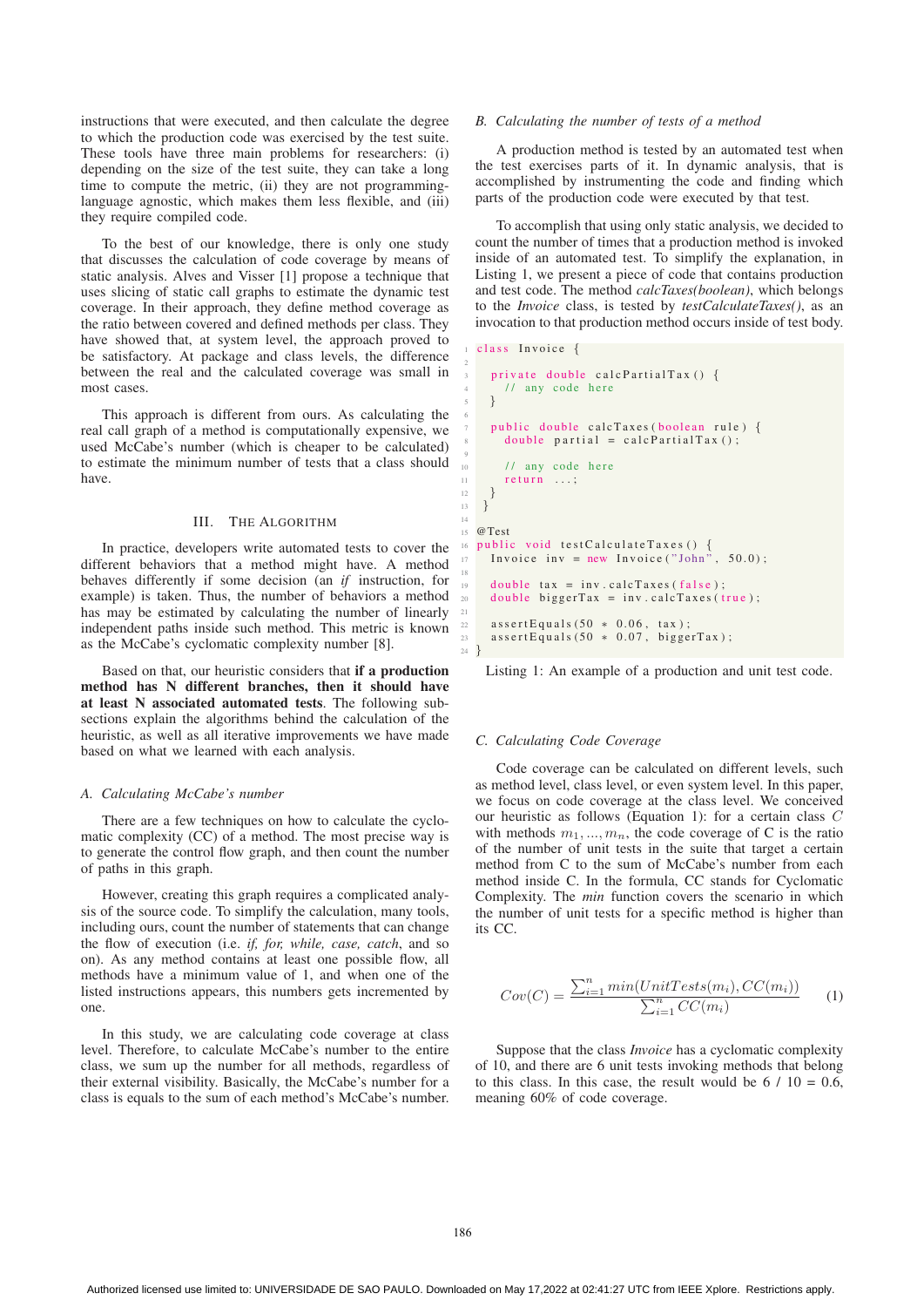instructions that were executed, and then calculate the degree to which the production code was exercised by the test suite. These tools have three main problems for researchers: (i) depending on the size of the test suite, they can take a long time to compute the metric, (ii) they are not programminglanguage agnostic, which makes them less flexible, and (iii) they require compiled code.

To the best of our knowledge, there is only one study that discusses the calculation of code coverage by means of static analysis. Alves and Visser [1] propose a technique that uses slicing of static call graphs to estimate the dynamic test coverage. In their approach, they define method coverage as the ratio between covered and defined methods per class. They have showed that, at system level, the approach proved to be satisfactory. At package and class levels, the difference between the real and the calculated coverage was small in most cases.

This approach is different from ours. As calculating the real call graph of a method is computationally expensive, we used McCabe's number (which is cheaper to be calculated) to estimate the minimum number of tests that a class should have.

## III. THE ALGORITHM

In practice, developers write automated tests to cover the different behaviors that a method might have. A method behaves differently if some decision (an *if* instruction, for example) is taken. Thus, the number of behaviors a method has may be estimated by calculating the number of linearly independent paths inside such method. This metric is known as the McCabe's cyclomatic complexity number [8].

Based on that, our heuristic considers that if a production method has N different branches, then it should have at least N associated automated tests. The following subsections explain the algorithms behind the calculation of the heuristic, as well as all iterative improvements we have made based on what we learned with each analysis.

#### *A. Calculating McCabe's number*

There are a few techniques on how to calculate the cyclomatic complexity (CC) of a method. The most precise way is to generate the control flow graph, and then count the number of paths in this graph.

However, creating this graph requires a complicated analysis of the source code. To simplify the calculation, many tools, including ours, count the number of statements that can change the flow of execution (i.e. *if, for, while, case, catch*, and so on). As any method contains at least one possible flow, all methods have a minimum value of 1, and when one of the listed instructions appears, this numbers gets incremented by one.

In this study, we are calculating code coverage at class level. Therefore, to calculate McCabe's number to the entire class, we sum up the number for all methods, regardless of their external visibility. Basically, the McCabe's number for a class is equals to the sum of each method's McCabe's number.

#### *B. Calculating the number of tests of a method*

A production method is tested by an automated test when the test exercises parts of it. In dynamic analysis, that is accomplished by instrumenting the code and finding which parts of the production code were executed by that test.

To accomplish that using only static analysis, we decided to count the number of times that a production method is invoked inside of an automated test. To simplify the explanation, in Listing 1, we present a piece of code that contains production and test code. The method *calcTaxes(boolean)*, which belongs to the *Invoice* class, is tested by *testCalculateTaxes()*, as an invocation to that production method occurs inside of test body.

```
class Invoice {
```
2

6

9

14

18

21

```
3 private double calcPartialTax () {
        // any code here
 5 }
     public double calcTaxes (boolean rule) {
        double partial = calcPartialTax ();
        // any code here
        return ...;\frac{12}{\sqrt{2}}13 }
15 \quad \omega Test
16 public void testCalculateTaxes () {<br>
17 Invoice inv = new Invoice ("John", 50.0);
     double \text{tax} = \text{inv}.\text{calcTaxes}(\text{false});20 double biggerTax = inv. calcTaxes (true);
22 assertEquals (50 * 0.06, tax);
23 assertEquals (50 * 0.07, biggerTax);
24 }
```
Listing 1: An example of a production and unit test code.

## *C. Calculating Code Coverage*

Code coverage can be calculated on different levels, such as method level, class level, or even system level. In this paper, we focus on code coverage at the class level. We conceived our heuristic as follows (Equation 1): for a certain class C with methods  $m_1, ..., m_n$ , the code coverage of C is the ratio of the number of unit tests in the suite that target a certain method from C to the sum of McCabe's number from each method inside C. In the formula, CC stands for Cyclomatic Complexity. The *min* function covers the scenario in which the number of unit tests for a specific method is higher than its CC.

$$
Cov(C) = \frac{\sum_{i=1}^{n} min(UnitTests(m_i), CC(m_i))}{\sum_{i=1}^{n} CC(m_i)}
$$
 (1)

Suppose that the class *Invoice* has a cyclomatic complexity of 10, and there are 6 unit tests invoking methods that belong to this class. In this case, the result would be  $6 / 10 = 0.6$ , meaning 60% of code coverage.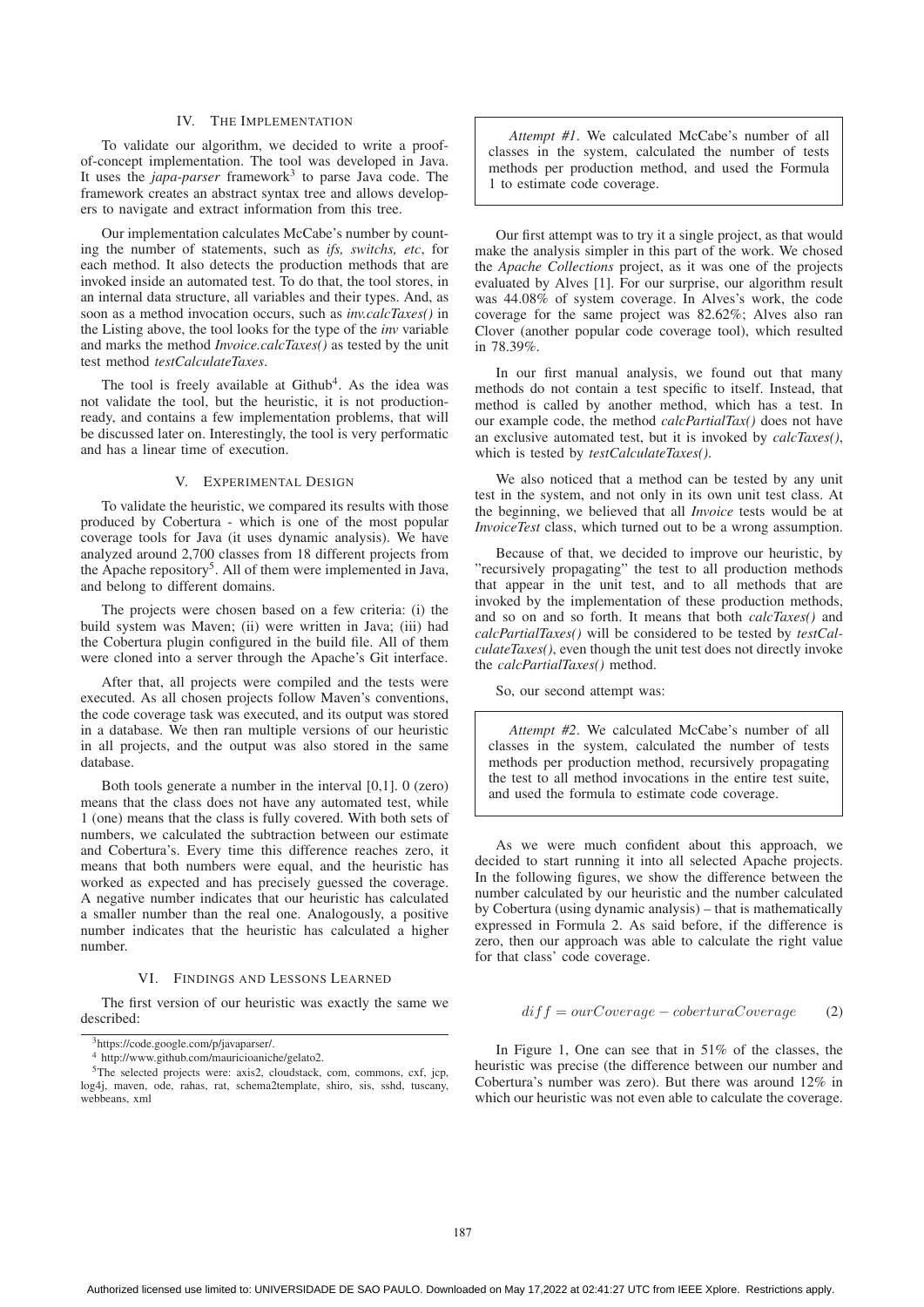#### IV. THE IMPLEMENTATION

To validate our algorithm, we decided to write a proofof-concept implementation. The tool was developed in Java. It uses the *japa-parser* framework<sup>3</sup> to parse Java code. The framework creates an abstract syntax tree and allows developers to navigate and extract information from this tree.

Our implementation calculates McCabe's number by counting the number of statements, such as *ifs, switchs, etc*, for each method. It also detects the production methods that are invoked inside an automated test. To do that, the tool stores, in an internal data structure, all variables and their types. And, as soon as a method invocation occurs, such as *inv.calcTaxes()* in the Listing above, the tool looks for the type of the *inv* variable and marks the method *Invoice.calcTaxes()* as tested by the unit test method *testCalculateTaxes*.

The tool is freely available at  $Github<sup>4</sup>$ . As the idea was not validate the tool, but the heuristic, it is not productionready, and contains a few implementation problems, that will be discussed later on. Interestingly, the tool is very performatic and has a linear time of execution.

## V. EXPERIMENTAL DESIGN

To validate the heuristic, we compared its results with those produced by Cobertura - which is one of the most popular coverage tools for Java (it uses dynamic analysis). We have analyzed around 2,700 classes from 18 different projects from the Apache repository<sup>5</sup>. All of them were implemented in Java, and belong to different domains.

The projects were chosen based on a few criteria: (i) the build system was Maven; (ii) were written in Java; (iii) had the Cobertura plugin configured in the build file. All of them were cloned into a server through the Apache's Git interface.

After that, all projects were compiled and the tests were executed. As all chosen projects follow Maven's conventions, the code coverage task was executed, and its output was stored in a database. We then ran multiple versions of our heuristic in all projects, and the output was also stored in the same database.

Both tools generate a number in the interval [0,1]. 0 (zero) means that the class does not have any automated test, while 1 (one) means that the class is fully covered. With both sets of numbers, we calculated the subtraction between our estimate and Cobertura's. Every time this difference reaches zero, it means that both numbers were equal, and the heuristic has worked as expected and has precisely guessed the coverage. A negative number indicates that our heuristic has calculated a smaller number than the real one. Analogously, a positive number indicates that the heuristic has calculated a higher number.

## VI. FINDINGS AND LESSONS LEARNED

The first version of our heuristic was exactly the same we described:

*Attempt #1*. We calculated McCabe's number of all classes in the system, calculated the number of tests methods per production method, and used the Formula 1 to estimate code coverage.

Our first attempt was to try it a single project, as that would make the analysis simpler in this part of the work. We chosed the *Apache Collections* project, as it was one of the projects evaluated by Alves [1]. For our surprise, our algorithm result was 44.08% of system coverage. In Alves's work, the code coverage for the same project was 82.62%; Alves also ran Clover (another popular code coverage tool), which resulted in 78.39%.

In our first manual analysis, we found out that many methods do not contain a test specific to itself. Instead, that method is called by another method, which has a test. In our example code, the method *calcPartialTax()* does not have an exclusive automated test, but it is invoked by *calcTaxes()*, which is tested by *testCalculateTaxes()*.

We also noticed that a method can be tested by any unit test in the system, and not only in its own unit test class. At the beginning, we believed that all *Invoice* tests would be at *InvoiceTest* class, which turned out to be a wrong assumption.

Because of that, we decided to improve our heuristic, by "recursively propagating" the test to all production methods that appear in the unit test, and to all methods that are invoked by the implementation of these production methods, and so on and so forth. It means that both *calcTaxes()* and *calcPartialTaxes()* will be considered to be tested by *testCalculateTaxes()*, even though the unit test does not directly invoke the *calcPartialTaxes()* method.

So, our second attempt was:

*Attempt #2*. We calculated McCabe's number of all classes in the system, calculated the number of tests methods per production method, recursively propagating the test to all method invocations in the entire test suite, and used the formula to estimate code coverage.

As we were much confident about this approach, we decided to start running it into all selected Apache projects. In the following figures, we show the difference between the number calculated by our heuristic and the number calculated by Cobertura (using dynamic analysis) – that is mathematically expressed in Formula 2. As said before, if the difference is zero, then our approach was able to calculate the right value for that class' code coverage.

#### $diff = ourCoverage - coberturaCoverage$  (2)

In Figure 1, One can see that in 51% of the classes, the heuristic was precise (the difference between our number and Cobertura's number was zero). But there was around 12% in which our heuristic was not even able to calculate the coverage.

<sup>3</sup>https://code.google.com/p/javaparser/.

<sup>4</sup> http://www.github.com/mauricioaniche/gelato2.

<sup>&</sup>lt;sup>5</sup>The selected projects were: axis2, cloudstack, com, commons, cxf, jcp, log4j, maven, ode, rahas, rat, schema2template, shiro, sis, sshd, tuscany, webbeans, xml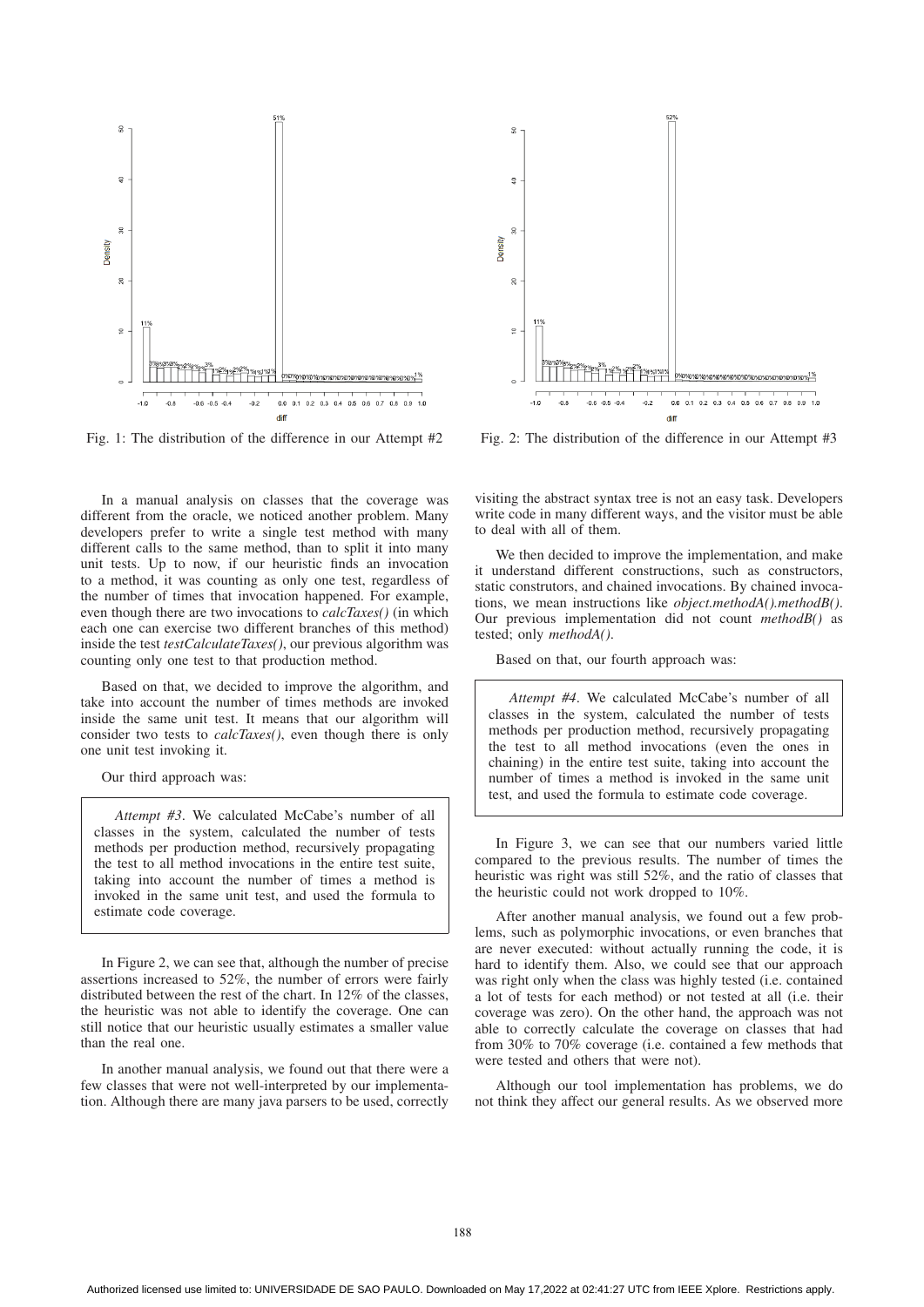

Fig. 1: The distribution of the difference in our Attempt #2

In a manual analysis on classes that the coverage was different from the oracle, we noticed another problem. Many developers prefer to write a single test method with many different calls to the same method, than to split it into many unit tests. Up to now, if our heuristic finds an invocation to a method, it was counting as only one test, regardless of the number of times that invocation happened. For example, even though there are two invocations to *calcTaxes()* (in which each one can exercise two different branches of this method) inside the test *testCalculateTaxes()*, our previous algorithm was counting only one test to that production method.

Based on that, we decided to improve the algorithm, and take into account the number of times methods are invoked inside the same unit test. It means that our algorithm will consider two tests to *calcTaxes()*, even though there is only one unit test invoking it.

Our third approach was:

*Attempt #3*. We calculated McCabe's number of all classes in the system, calculated the number of tests methods per production method, recursively propagating the test to all method invocations in the entire test suite, taking into account the number of times a method is invoked in the same unit test, and used the formula to estimate code coverage.

In Figure 2, we can see that, although the number of precise assertions increased to 52%, the number of errors were fairly distributed between the rest of the chart. In 12% of the classes, the heuristic was not able to identify the coverage. One can still notice that our heuristic usually estimates a smaller value than the real one.

In another manual analysis, we found out that there were a few classes that were not well-interpreted by our implementation. Although there are many java parsers to be used, correctly



Fig. 2: The distribution of the difference in our Attempt #3

visiting the abstract syntax tree is not an easy task. Developers write code in many different ways, and the visitor must be able to deal with all of them.

We then decided to improve the implementation, and make it understand different constructions, such as constructors, static construtors, and chained invocations. By chained invocations, we mean instructions like *object.methodA().methodB()*. Our previous implementation did not count *methodB()* as tested; only *methodA()*.

Based on that, our fourth approach was:

*Attempt #4*. We calculated McCabe's number of all classes in the system, calculated the number of tests methods per production method, recursively propagating the test to all method invocations (even the ones in chaining) in the entire test suite, taking into account the number of times a method is invoked in the same unit test, and used the formula to estimate code coverage.

In Figure 3, we can see that our numbers varied little compared to the previous results. The number of times the heuristic was right was still 52%, and the ratio of classes that the heuristic could not work dropped to 10%.

After another manual analysis, we found out a few problems, such as polymorphic invocations, or even branches that are never executed: without actually running the code, it is hard to identify them. Also, we could see that our approach was right only when the class was highly tested (i.e. contained a lot of tests for each method) or not tested at all (i.e. their coverage was zero). On the other hand, the approach was not able to correctly calculate the coverage on classes that had from 30% to 70% coverage (i.e. contained a few methods that were tested and others that were not).

Although our tool implementation has problems, we do not think they affect our general results. As we observed more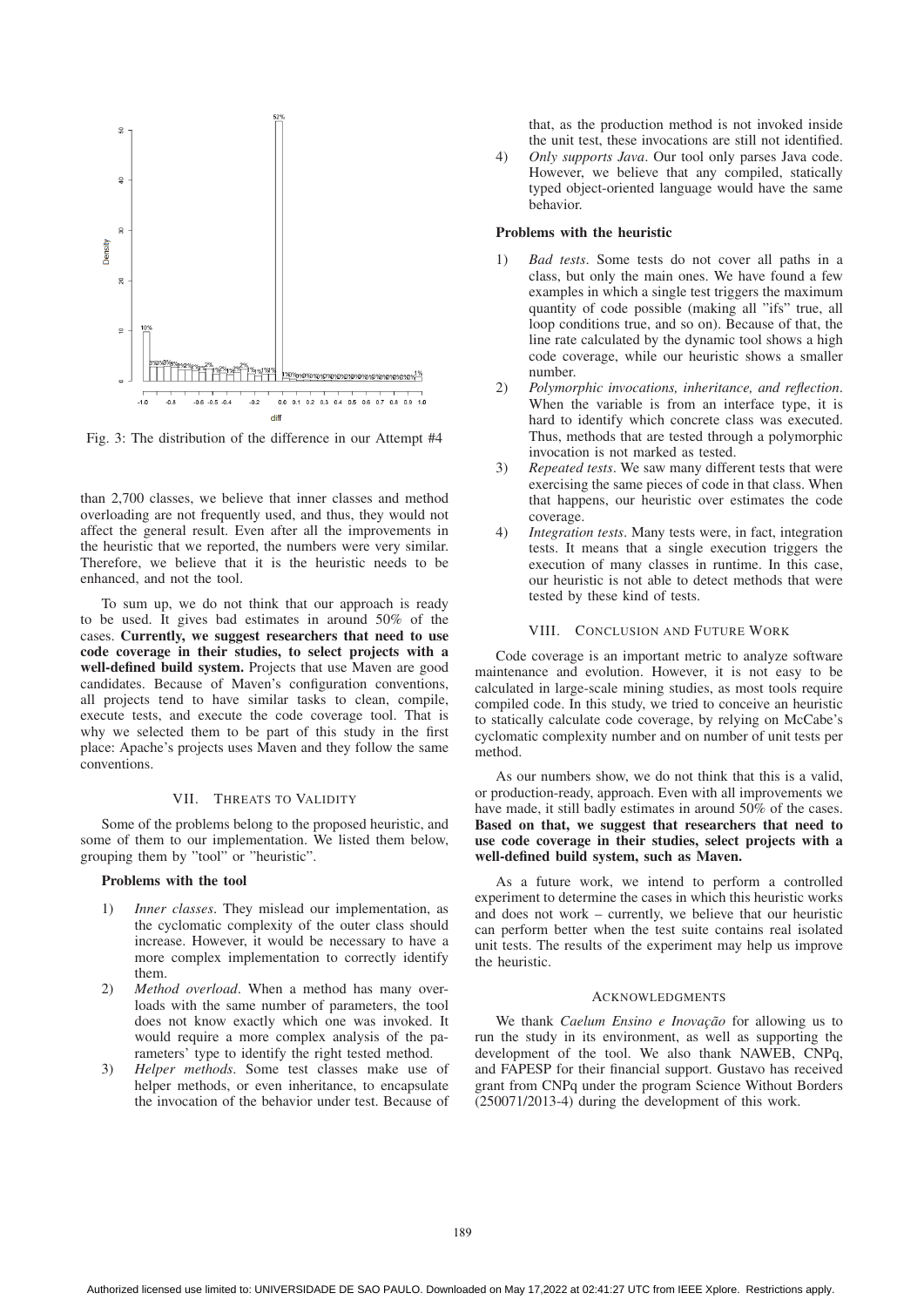

Fig. 3: The distribution of the difference in our Attempt #4

than 2,700 classes, we believe that inner classes and method overloading are not frequently used, and thus, they would not affect the general result. Even after all the improvements in the heuristic that we reported, the numbers were very similar. Therefore, we believe that it is the heuristic needs to be enhanced, and not the tool.

To sum up, we do not think that our approach is ready to be used. It gives bad estimates in around 50% of the cases. Currently, we suggest researchers that need to use code coverage in their studies, to select projects with a well-defined build system. Projects that use Maven are good candidates. Because of Maven's configuration conventions, all projects tend to have similar tasks to clean, compile, execute tests, and execute the code coverage tool. That is why we selected them to be part of this study in the first place: Apache's projects uses Maven and they follow the same conventions.

# VII. THREATS TO VALIDITY

Some of the problems belong to the proposed heuristic, and some of them to our implementation. We listed them below, grouping them by "tool" or "heuristic".

## Problems with the tool

- 1) *Inner classes*. They mislead our implementation, as the cyclomatic complexity of the outer class should increase. However, it would be necessary to have a more complex implementation to correctly identify them.
- 2) *Method overload*. When a method has many overloads with the same number of parameters, the tool does not know exactly which one was invoked. It would require a more complex analysis of the parameters' type to identify the right tested method.
- 3) *Helper methods*. Some test classes make use of helper methods, or even inheritance, to encapsulate the invocation of the behavior under test. Because of

that, as the production method is not invoked inside the unit test, these invocations are still not identified.

4) *Only supports Java*. Our tool only parses Java code. However, we believe that any compiled, statically typed object-oriented language would have the same behavior.

# Problems with the heuristic

- 1) *Bad tests*. Some tests do not cover all paths in a class, but only the main ones. We have found a few examples in which a single test triggers the maximum quantity of code possible (making all "ifs" true, all loop conditions true, and so on). Because of that, the line rate calculated by the dynamic tool shows a high code coverage, while our heuristic shows a smaller number.
- 2) *Polymorphic invocations, inheritance, and reflection*. When the variable is from an interface type, it is hard to identify which concrete class was executed. Thus, methods that are tested through a polymorphic invocation is not marked as tested.
- 3) *Repeated tests*. We saw many different tests that were exercising the same pieces of code in that class. When that happens, our heuristic over estimates the code coverage.
- 4) *Integration tests*. Many tests were, in fact, integration tests. It means that a single execution triggers the execution of many classes in runtime. In this case, our heuristic is not able to detect methods that were tested by these kind of tests.

#### VIII. CONCLUSION AND FUTURE WORK

Code coverage is an important metric to analyze software maintenance and evolution. However, it is not easy to be calculated in large-scale mining studies, as most tools require compiled code. In this study, we tried to conceive an heuristic to statically calculate code coverage, by relying on McCabe's cyclomatic complexity number and on number of unit tests per method.

As our numbers show, we do not think that this is a valid, or production-ready, approach. Even with all improvements we have made, it still badly estimates in around 50% of the cases. Based on that, we suggest that researchers that need to use code coverage in their studies, select projects with a well-defined build system, such as Maven.

As a future work, we intend to perform a controlled experiment to determine the cases in which this heuristic works and does not work – currently, we believe that our heuristic can perform better when the test suite contains real isolated unit tests. The results of the experiment may help us improve the heuristic.

#### ACKNOWLEDGMENTS

We thank *Caelum Ensino e Inovação* for allowing us to run the study in its environment, as well as supporting the development of the tool. We also thank NAWEB, CNPq, and FAPESP for their financial support. Gustavo has received grant from CNPq under the program Science Without Borders (250071/2013-4) during the development of this work.